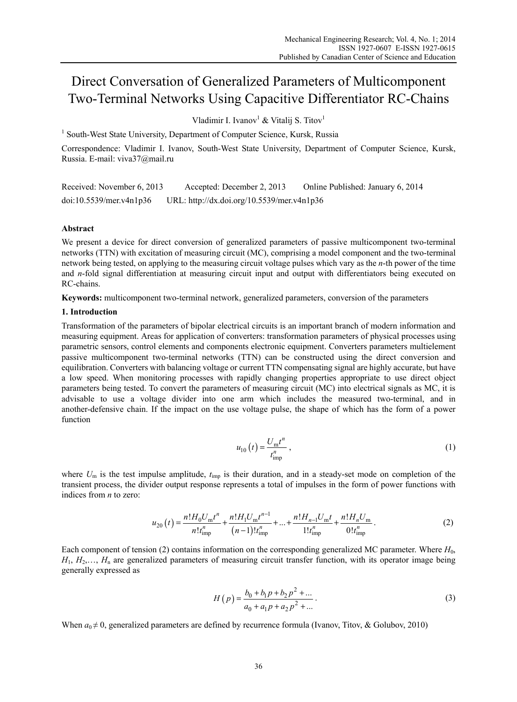# Direct Conversation of Generalized Parameters of Multicomponent Two-Terminal Networks Using Capacitive Differentiator RC-Chains

Vladimir I. Ivanov $^1$  & Vitalij S. Titov $^1$ 

<sup>1</sup> South-West State University, Department of Computer Science, Kursk, Russia

Correspondence: Vladimir I. Ivanov, South-West State University, Department of Computer Science, Kursk, Russia. E-mail: viva37@mail.ru

Received: November 6, 2013 Accepted: December 2, 2013 Online Published: January 6, 2014 doi:10.5539/mer.v4n1p36 URL: http://dx.doi.org/10.5539/mer.v4n1p36

## **Abstract**

We present a device for direct conversion of generalized parameters of passive multicomponent two-terminal networks (TTN) with excitation of measuring circuit (MC), comprising a model component and the two-terminal network being tested, on applying to the measuring circuit voltage pulses which vary as the *n*-th power of the time and *n*-fold signal differentiation at measuring circuit input and output with differentiators being executed on RC-chains.

**Keywords:** multicomponent two-terminal network, generalized parameters, conversion of the parameters

#### **1. Introduction**

Transformation of the parameters of bipolar electrical circuits is an important branch of modern information and measuring equipment. Areas for application of converters: transformation parameters of physical processes using parametric sensors, control elements and components electronic equipment. Converters parameters multielement passive multicomponent two-terminal networks (TTN) can be constructed using the direct conversion and equilibration. Converters with balancing voltage or current TTN compensating signal are highly accurate, but have a low speed. When monitoring processes with rapidly changing properties appropriate to use direct object parameters being tested. To convert the parameters of measuring circuit (MC) into electrical signals as MC, it is advisable to use a voltage divider into one arm which includes the measured two-terminal, and in another-defensive chain. If the impact on the use voltage pulse, the shape of which has the form of a power function

$$
u_{10}(t) = \frac{U_{\rm m}t^n}{t_{\rm imp}^n} \,, \tag{1}
$$

where  $U_m$  is the test impulse amplitude,  $t_{\text{imp}}$  is their duration, and in a steady-set mode on completion of the transient process, the divider output response represents a total of impulses in the form of power functions with indices from *n* to zero:

$$
u_{20}(t) = \frac{n!H_0 U_m t^n}{n!t_{\text{imp}}^n} + \frac{n!H_1 U_m t^{n-1}}{(n-1)!t_{\text{imp}}^n} + \dots + \frac{n!H_{n-1} U_m t}{n!t_{\text{imp}}^n} + \frac{n!H_n U_m}{0!t_{\text{imp}}^n}.
$$
 (2)

Each component of tension (2) contains information on the corresponding generalized MC parameter. Where  $H_0$ ,  $H_1, H_2, \ldots, H_n$  are generalized parameters of measuring circuit transfer function, with its operator image being generally expressed as

$$
H(p) = \frac{b_0 + b_1 p + b_2 p^2 + \dots}{a_0 + a_1 p + a_2 p^2 + \dots}.
$$
 (3)

When  $a_0 \neq 0$ , generalized parameters are defined by recurrence formula (Ivanov, Titov, & Golubov, 2010)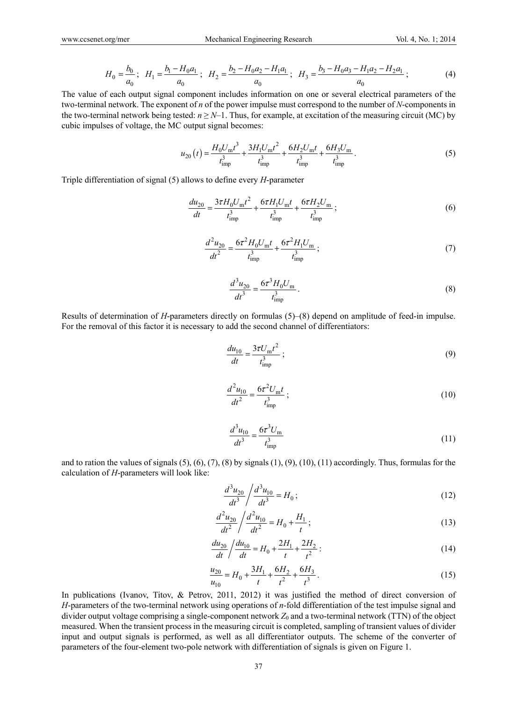$$
H_0 = \frac{b_0}{a_0}; \quad H_1 = \frac{b_1 - H_0 a_1}{a_0}; \quad H_2 = \frac{b_2 - H_0 a_2 - H_1 a_1}{a_0}; \quad H_3 = \frac{b_3 - H_0 a_3 - H_1 a_2 - H_2 a_1}{a_0}; \tag{4}
$$

The value of each output signal component includes information on one or several electrical parameters of the two-terminal network. The exponent of *n* of the power impulse must correspond to the number of *N*-components in the two-terminal network being tested:  $n \ge N-1$ . Thus, for example, at excitation of the measuring circuit (MC) by cubic impulses of voltage, the MC output signal becomes:

$$
u_{20}(t) = \frac{H_0 U_{\rm m} t^3}{t_{\rm imp}^3} + \frac{3H_1 U_{\rm m} t^2}{t_{\rm imp}^3} + \frac{6H_2 U_{\rm m} t}{t_{\rm imp}^3} + \frac{6H_3 U_{\rm m}}{t_{\rm imp}^3}.
$$
 (5)

Triple differentiation of signal (5) allows to define every *H*-parameter

$$
\frac{du_{20}}{dt} = \frac{3\tau H_0 U_m t^2}{t_{\rm imp}^3} + \frac{6\tau H_1 U_m t}{t_{\rm imp}^3} + \frac{6\tau H_2 U_m}{t_{\rm imp}^3};
$$
\n(6)

$$
\frac{d^2 u_{20}}{dt^2} = \frac{6\tau^2 H_0 U_m t}{t_{\rm imp}^3} + \frac{6\tau^2 H_1 U_m}{t_{\rm imp}^3};
$$
\n(7)

$$
\frac{d^3 u_{20}}{dt^3} = \frac{6\tau^3 H_0 U_{\rm m}}{t_{\rm imp}^3} \,. \tag{8}
$$

Results of determination of *H*-parameters directly on formulas (5)–(8) depend on amplitude of feed-in impulse. For the removal of this factor it is necessary to add the second channel of differentiators:

$$
\frac{du_{10}}{dt} = \frac{3\tau U_{\rm m}t^2}{t_{\rm imp}^3} \tag{9}
$$

$$
\frac{d^2 u_{10}}{dt^2} = \frac{6\tau^2 U_{\rm m} t}{t_{\rm imp}^3} \tag{10}
$$

$$
\frac{d^3 u_{10}}{dt^3} = \frac{6\tau^3 U_{\rm m}}{t_{\rm imp}^3} \tag{11}
$$

and to ration the values of signals  $(5)$ ,  $(6)$ ,  $(7)$ ,  $(8)$  by signals  $(1)$ ,  $(9)$ ,  $(10)$ ,  $(11)$  accordingly. Thus, formulas for the calculation of *H*-parameters will look like:

$$
\frac{d^3 u_{20}}{dt^3} / \frac{d^3 u_{10}}{dt^3} = H_0 ;
$$
\n(12)

$$
\frac{d^2 u_{20}}{dt^2} / \frac{d^2 u_{10}}{dt^2} = H_0 + \frac{H_1}{t};
$$
\n(13)

$$
\frac{du_{20}}{dt} / \frac{du_{10}}{dt} = H_0 + \frac{2H_1}{t} + \frac{2H_2}{t^2}
$$
 (14)

$$
\frac{u_{20}}{u_{10}} = H_0 + \frac{3H_1}{t} + \frac{6H_2}{t^2} + \frac{6H_3}{t^3}.
$$
 (15)

In publications (Ivanov, Titov, & Petrov, 2011, 2012) it was justified the method of direct conversion of *H*-parameters of the two-terminal network using operations of *n*-fold differentiation of the test impulse signal and divider output voltage comprising a single-component network  $Z_0$  and a two-terminal network (TTN) of the object measured. When the transient process in the measuring circuit is completed, sampling of transient values of divider input and output signals is performed, as well as all differentiator outputs. The scheme of the converter of parameters of the four-element two-pole network with differentiation of signals is given on Figure 1.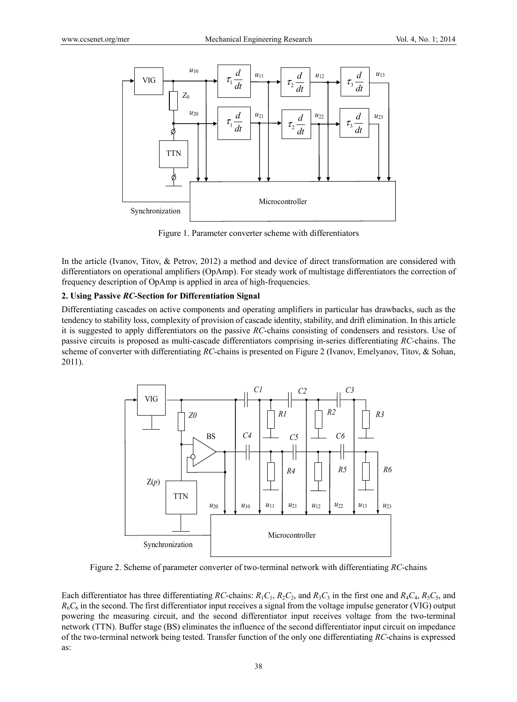

Figure 1. Parameter converter scheme with differentiators

In the article (Ivanov, Titov, & Petrov, 2012) a method and device of direct transformation are considered with differentiators on operational amplifiers (OpAmp). For steady work of multistage differentiators the correction of frequency description of OpAmp is applied in area of high-frequencies.

## **2. Using Passive** *RC***-Section for Differentiation Signal**

Differentiating cascades on active components and operating amplifiers in particular has drawbacks, such as the tendency to stability loss, complexity of provision of cascade identity, stability, and drift elimination. In this article it is suggested to apply differentiators on the passive *RC*-chains consisting of condensers and resistors. Use of passive circuits is proposed as multi-cascade differentiators comprising in-series differentiating *RC-*chains. The scheme of converter with differentiating *RC*-chains is presented on Figure 2 (Ivanov, Emelyanov, Titov, & Sohan, 2011).



Figure 2. Scheme of parameter converter of two-terminal network with differentiating *RC*-chains

Each differentiator has three differentiating *RC*-chains:  $R_1C_1$ ,  $R_2C_2$ , and  $R_3C_3$  in the first one and  $R_4C_4$ ,  $R_5C_5$ , and *R*6*C*6 in the second. The first differentiator input receives a signal from the voltage impulse generator (VIG) output powering the measuring circuit, and the second differentiator input receives voltage from the two-terminal network (TTN). Buffer stage (BS) eliminates the influence of the second differentiator input circuit on impedance of the two-terminal network being tested. Transfer function of the only one differentiating *RC*-chains is expressed as: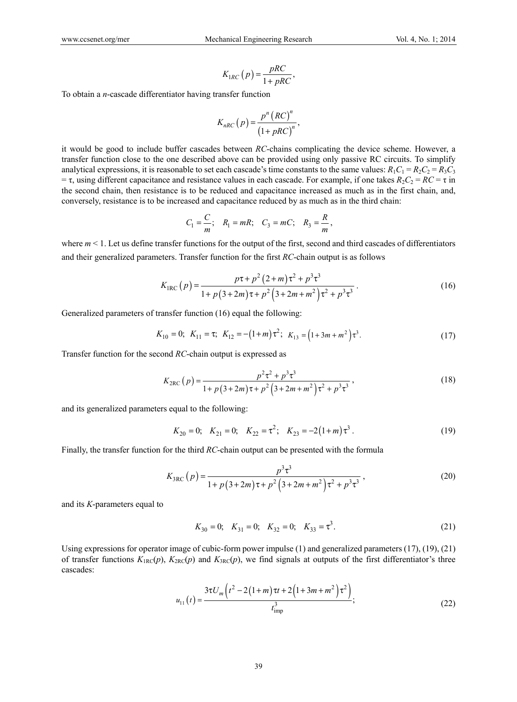$$
K_{1RC}\left(p\right) = \frac{pRC}{1 + pRC},\,
$$

To obtain a *n*-cascade differentiator having transfer function

$$
K_{nRC}\left(p\right) = \frac{p^n \left( RC\right)^n}{\left(1 + pRC\right)^n},\,
$$

it would be good to include buffer cascades between *RC*-chains complicating the device scheme. However, a transfer function close to the one described above can be provided using only passive RC circuits. To simplify analytical expressions, it is reasonable to set each cascade's time constants to the same values:  $R_1C_1 = R_2C_2 = R_3C_3$  $=$ τ, using different capacitance and resistance values in each cascade. For example, if one takes *R*<sub>2</sub>*C*<sub>2</sub> = *RC* = τ in the second chain, then resistance is to be reduced and capacitance increased as much as in the first chain, and, conversely, resistance is to be increased and capacitance reduced by as much as in the third chain:

$$
C_1 = \frac{C}{m}
$$
;  $R_1 = mR$ ;  $C_3 = mC$ ;  $R_3 = \frac{R}{m}$ ,

where  $m < 1$ . Let us define transfer functions for the output of the first, second and third cascades of differentiators and their generalized parameters. Transfer function for the first *RC*-chain output is as follows

$$
K_{\text{IRC}}(p) = \frac{p\tau + p^2 (2+m)\tau^2 + p^3 \tau^3}{1 + p(3+2m)\tau + p^2 (3+2m+m^2)\tau^2 + p^3 \tau^3}.
$$
 (16)

Generalized parameters of transfer function (16) equal the following:

$$
K_{10} = 0
$$
;  $K_{11} = \tau$ ;  $K_{12} = -(1+m)\tau^2$ ;  $K_{13} = (1+3m+m^2)\tau^3$ . (17)

Transfer function for the second *RC*-chain output is expressed as

$$
K_{2\text{RC}}(p) = \frac{p^2 \tau^2 + p^3 \tau^3}{1 + p(3 + 2m)\tau + p^2(3 + 2m + m^2)\tau^2 + p^3 \tau^3},
$$
\n(18)

and its generalized parameters equal to the following:

$$
K_{20} = 0
$$
;  $K_{21} = 0$ ;  $K_{22} = \tau^2$ ;  $K_{23} = -2(1+m)\tau^3$ . (19)

Finally, the transfer function for the third *RC*-chain output can be presented with the formula

$$
K_{3\text{RC}}(p) = \frac{p^3 \tau^3}{1 + p(3 + 2m)\tau + p^2(3 + 2m + m^2)\tau^2 + p^3 \tau^3},\tag{20}
$$

and its *K*-parameters equal to

$$
K_{30} = 0; \quad K_{31} = 0; \quad K_{32} = 0; \quad K_{33} = \tau^3. \tag{21}
$$

Using expressions for operator image of cubic-form power impulse (1) and generalized parameters (17), (19), (21) of transfer functions  $K_{\text{BC}}(p)$ ,  $K_{\text{2RC}}(p)$  and  $K_{\text{3RC}}(p)$ , we find signals at outputs of the first differentiator's three cascades:

$$
u_{11}(t) = \frac{3\tau U_m \left(t^2 - 2\left(1 + m\right)\tau t + 2\left(1 + 3m + m^2\right)\tau^2\right)}{t_{\text{imp}}^3},\tag{22}
$$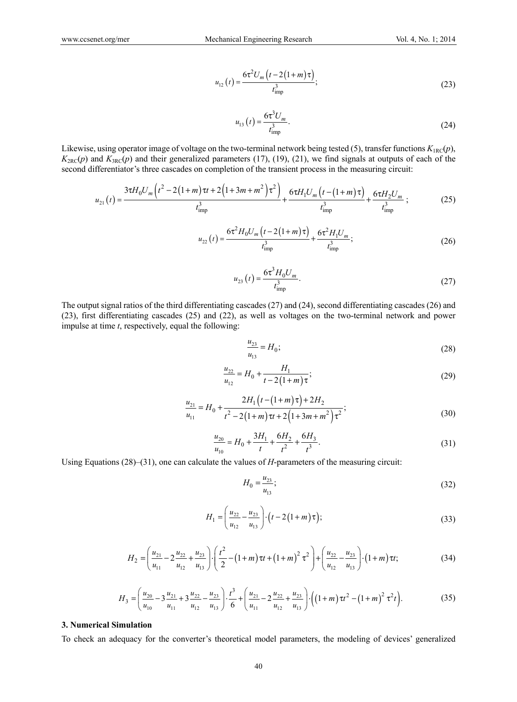$$
u_{12}(t) = \frac{6\tau^2 U_m \left(t - 2\left(1 + m\right)\tau\right)}{t_{\text{imp}}^3};
$$
\n(23)

$$
u_{13}(t) = \frac{6\tau^3 U_m}{t_{\text{imp}}^3}.
$$
 (24)

Likewise, using operator image of voltage on the two-terminal network being tested (5), transfer functions  $K_{\text{IRC}}(p)$ ,  $K_{2R}C(p)$  and  $K_{3R}C(p)$  and their generalized parameters (17), (19), (21), we find signals at outputs of each of the second differentiator's three cascades on completion of the transient process in the measuring circuit:

$$
u_{21}(t) = \frac{3\tau H_0 U_m \left(t^2 - 2\left(1 + m\right)\tau t + 2\left(1 + 3m + m^2\right)\tau^2\right)}{t_{\text{imp}}^3} + \frac{6\tau H_1 U_m \left(t - \left(1 + m\right)\tau\right)}{t_{\text{imp}}^3} + \frac{6\tau H_2 U_m}{t_{\text{imp}}^3};\tag{25}
$$

$$
u_{22}(t) = \frac{6\tau^2 H_0 U_m \left(t - 2\left(1 + m\right)\tau\right)}{t_{\text{imp}}^3} + \frac{6\tau^2 H_1 U_m}{t_{\text{imp}}^3};\tag{26}
$$

$$
u_{23}(t) = \frac{6\tau^3 H_0 U_m}{t_{\text{imp}}^3}.
$$
 (27)

The output signal ratios of the third differentiating cascades (27) and (24), second differentiating cascades (26) and (23), first differentiating cascades (25) and (22), as well as voltages on the two-terminal network and power impulse at time *t*, respectively, equal the following:

$$
\frac{u_{23}}{u_{13}} = H_0;
$$
\n(28)

$$
\frac{u_{22}}{u_{12}} = H_0 + \frac{H_1}{t - 2(1+m)\tau};
$$
\n(29)

$$
\frac{u_{21}}{u_{11}} = H_0 + \frac{2H_1\left(t - \left(1 + m\right)\tau\right) + 2H_2}{t^2 - 2\left(1 + m\right)\tau t + 2\left(1 + 3m + m^2\right)\tau^2};\tag{30}
$$

$$
\frac{u_{20}}{u_{10}} = H_0 + \frac{3H_1}{t} + \frac{6H_2}{t^2} + \frac{6H_3}{t^3}.
$$
\n(31)

Using Equations (28)–(31), one can calculate the values of *H*-parameters of the measuring circuit:

$$
H_0 = \frac{u_{23}}{u_{13}};
$$
\n(32)

$$
H_1 = \left(\frac{u_{22}}{u_{12}} - \frac{u_{23}}{u_{13}}\right) \cdot \left(t - 2\left(1 + m\right)\tau\right);
$$
\n(33)

$$
H_2 = \left(\frac{u_{21}}{u_{11}} - 2\frac{u_{22}}{u_{12}} + \frac{u_{23}}{u_{13}}\right) \cdot \left(\frac{t^2}{2} - \left(1 + m\right)\tau t + \left(1 + m\right)^2 \tau^2\right) + \left(\frac{u_{22}}{u_{12}} - \frac{u_{23}}{u_{13}}\right) \cdot \left(1 + m\right)\tau t; \tag{34}
$$

$$
H_3 = \left(\frac{u_{20}}{u_{10}} - 3\frac{u_{21}}{u_{11}} + 3\frac{u_{22}}{u_{12}} - \frac{u_{23}}{u_{13}}\right) \cdot \frac{t^3}{6} + \left(\frac{u_{21}}{u_{11}} - 2\frac{u_{22}}{u_{12}} + \frac{u_{23}}{u_{13}}\right) \cdot \left(\left(1 + m\right)\tau t^2 - \left(1 + m\right)^2 \tau^2 t\right). \tag{35}
$$

#### **3. Numerical Simulation**

To check an adequacy for the converter's theoretical model parameters, the modeling of devices' generalized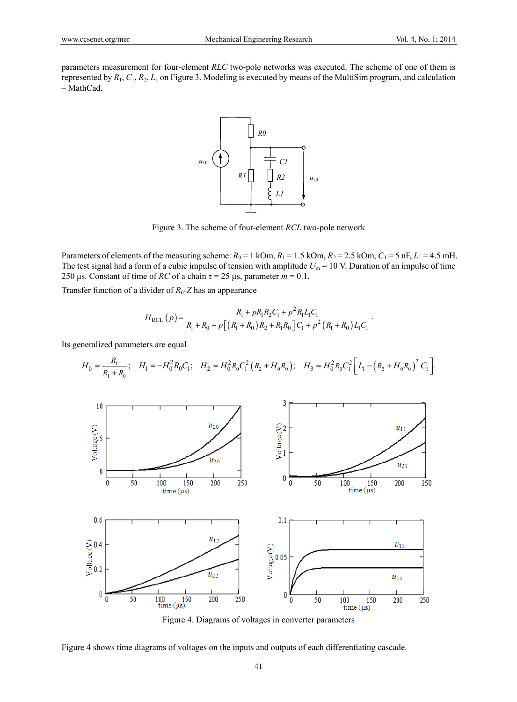parameters measurement for four-element *RLC* two-pole networks was executed. The scheme of one of them is represented by *R*1, *C*1, *R*2, *L*1 on Figure 3. Modeling is executed by means of the MultiSim program, and calculation – MathCad.



Figure 3. The scheme of four-element *RCL* two-pole network

Parameters of elements of the measuring scheme:  $R_0 = 1$  kOm,  $R_1 = 1.5$  kOm,  $R_2 = 2.5$  kOm,  $C_1 = 5$  nF,  $L_1 = 4.5$  mH. The test signal had a form of a cubic impulse of tension with amplitude  $U_m = 10$  V. Duration of an impulse of time 250 μs. Constant of time of *RC* of a chain  $τ = 25 \mu s$ , parameter  $m = 0.1$ .

Transfer function of a divider of  $R_0$ -*Z* has an appearance

$$
H_{\text{RCL}}(p) = \frac{R_1 + pR_1R_2C_1 + p^2R_1L_1C_1}{R_1 + R_0 + p\left[\left(R_1 + R_0\right)R_2 + R_1R_0\right]C_1 + p^2\left(R_1 + R_0\right)L_1C_1}.
$$

Its generalized parameters are equal

$$
H_0 = \frac{R_1}{R_1 + R_0}; \quad H_1 = -H_0^2 R_0 C_1; \quad H_2 = H_0^2 R_0 C_1^2 (R_2 + H_0 R_0); \quad H_3 = H_0^2 R_0 C_1^2 \left[ L_1 - (R_2 + H_0 R_0)^2 C_1 \right].
$$



Figure 4. Diagrams of voltages in converter parameters

Figure 4 shows time diagrams of voltages on the inputs and outputs of each differentiating cascade.